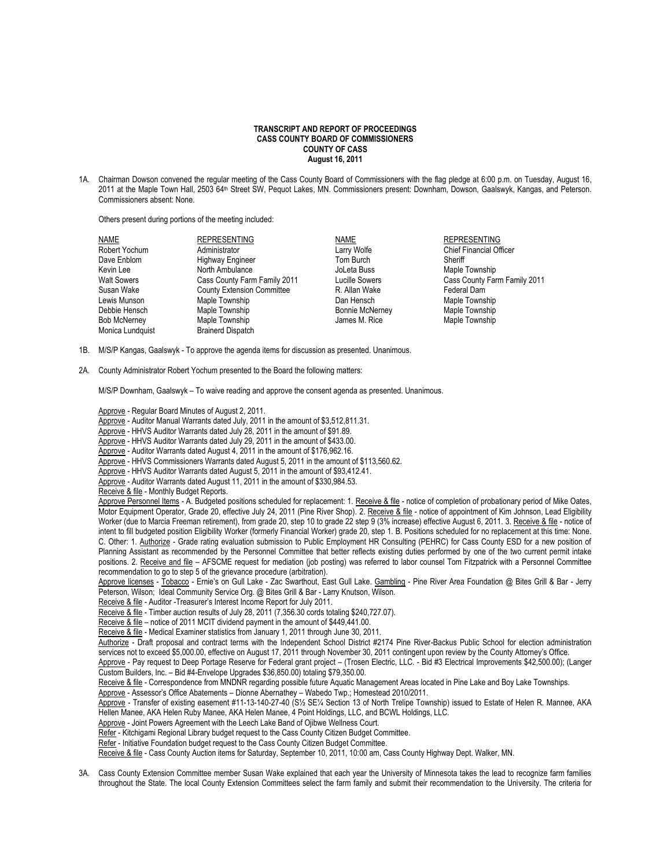## **TRANSCRIPT AND REPORT OF PROCEEDINGS CASS COUNTY BOARD OF COMMISSIONERS COUNTY OF CASS August 16, 2011**

1A. Chairman Dowson convened the regular meeting of the Cass County Board of Commissioners with the flag pledge at 6:00 p.m. on Tuesday, August 16, 2011 at the Maple Town Hall, 2503 64th Street SW, Pequot Lakes, MN. Commissioners present: Downham, Dowson, Gaalswyk, Kangas, and Peterson. Commissioners absent: None.

Others present during portions of the meeting included:

| NAME                | <b>REPRESENTING</b>               | NAME                   | <b>REPRESENTING</b>            |
|---------------------|-----------------------------------|------------------------|--------------------------------|
| Robert Yochum       | Administrator                     | Larry Wolfe            | <b>Chief Financial Officer</b> |
| Dave Enblom         | <b>Highway Engineer</b>           | Tom Burch              | Sheriff                        |
| Kevin Lee           | North Ambulance                   | JoLeta Buss            | Maple Township                 |
| <b>Walt Sowers</b>  | Cass County Farm Family 2011      | Lucille Sowers         | Cass County Farm Family 2011   |
| Susan Wake          | <b>County Extension Committee</b> | R. Allan Wake          | Federal Dam                    |
| Lewis Munson        | Maple Township                    | Dan Hensch             | Maple Township                 |
| Debbie Hensch       | Maple Township                    | <b>Bonnie McNerney</b> | Maple Township                 |
| <b>Bob McNerney</b> | Maple Township                    | James M. Rice          | Maple Township                 |
| Monica Lundquist    | <b>Brainerd Dispatch</b>          |                        |                                |

- 1B. M/S/P Kangas, Gaalswyk To approve the agenda items for discussion as presented. Unanimous.
- 2A. County Administrator Robert Yochum presented to the Board the following matters:

M/S/P Downham, Gaalswyk – To waive reading and approve the consent agenda as presented. Unanimous.

Approve - Regular Board Minutes of August 2, 2011.

- Approve Auditor Manual Warrants dated July, 2011 in the amount of \$3,512,811.31.
- Approve HHVS Auditor Warrants dated July 28, 2011 in the amount of \$91.89.
- Approve HHVS Auditor Warrants dated July 29, 2011 in the amount of \$433.00.
- Approve Auditor Warrants dated August 4, 2011 in the amount of \$176,962.16.
- Approve HHVS Commissioners Warrants dated August 5, 2011 in the amount of \$113,560.62.
- Approve HHVS Auditor Warrants dated August 5, 2011 in the amount of \$93,412.41.
- Approve Auditor Warrants dated August 11, 2011 in the amount of \$330,984.53.
- Receive & file Monthly Budget Reports.

Approve Personnel Items - A. Budgeted positions scheduled for replacement: 1. Receive & file - notice of completion of probationary period of Mike Oates, Motor Equipment Operator, Grade 20, effective July 24, 2011 (Pine River Shop). 2. Receive & file - notice of appointment of Kim Johnson, Lead Eligibility Worker (due to Marcia Freeman retirement), from grade 20, step 10 to grade 22 step 9 (3% increase) effective August 6, 2011. 3. Receive & file - notice of intent to fill budgeted position Eligibility Worker (formerly Financial Worker) grade 20, step 1. B. Positions scheduled for no replacement at this time: None. C. Other: 1. Authorize - Grade rating evaluation submission to Public Employment HR Consulting (PEHRC) for Cass County ESD for a new position of Planning Assistant as recommended by the Personnel Committee that better reflects existing duties performed by one of the two current permit intake positions. 2. Receive and file – AFSCME request for mediation (job posting) was referred to labor counsel Tom Fitzpatrick with a Personnel Committee recommendation to go to step 5 of the grievance procedure (arbitration).

Approve licenses - Tobacco - Ernie's on Gull Lake - Zac Swarthout, East Gull Lake. Gambling - Pine River Area Foundation @ Bites Grill & Bar - Jerry Peterson, Wilson; Ideal Community Service Org. @ Bites Grill & Bar - Larry Knutson, Wilson.

Receive & file - Auditor -Treasurer's Interest Income Report for July 2011.

Receive & file - Timber auction results of July 28, 2011 (7,356.30 cords totaling \$240,727.07).

Receive & file – notice of 2011 MCIT dividend payment in the amount of \$449,441.00.

Receive & file - Medical Examiner statistics from January 1, 2011 through June 30, 2011.

Authorize - Draft proposal and contract terms with the Independent School District #2174 Pine River-Backus Public School for election administration services not to exceed \$5,000.00, effective on August 17, 2011 through November 30, 2011 contingent upon review by the County Attorney's Office.

Approve - Pay request to Deep Portage Reserve for Federal grant project – (Trosen Electric, LLC. - Bid #3 Electrical Improvements \$42,500.00); (Langer Custom Builders, Inc. – Bid #4-Envelope Upgrades \$36,850.00) totaling \$79,350.00.

Receive & file - Correspondence from MNDNR regarding possible future Aquatic Management Areas located in Pine Lake and Boy Lake Townships.

Approve - Assessor's Office Abatements – Dionne Abernathey – Wabedo Twp.; Homestead 2010/2011.

Approve - Transfer of existing easement #11-13-140-27-40 (S½ SE¼ Section 13 of North Trelipe Township) issued to Estate of Helen R. Mannee, AKA Hellen Manee, AKA Helen Ruby Manee, AKA Helen Manee, 4 Point Holdings, LLC, and BCWL Holdings, LLC.

Approve - Joint Powers Agreement with the Leech Lake Band of Ojibwe Wellness Court.

Refer - Kitchigami Regional Library budget request to the Cass County Citizen Budget Committee.

Refer - Initiative Foundation budget request to the Cass County Citizen Budget Committee.

Receive & file - Cass County Auction items for Saturday, September 10, 2011, 10:00 am, Cass County Highway Dept. Walker, MN.

3A. Cass County Extension Committee member Susan Wake explained that each year the University of Minnesota takes the lead to recognize farm families throughout the State. The local County Extension Committees select the farm family and submit their recommendation to the University. The criteria for